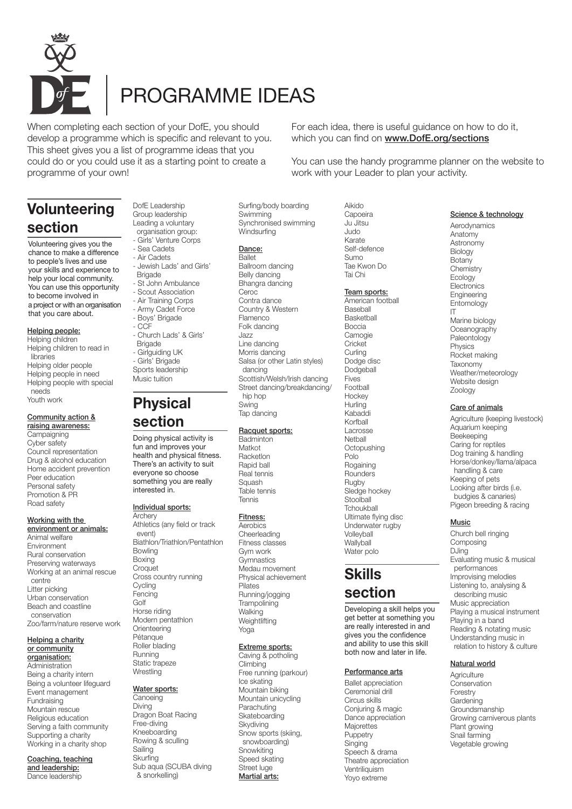

# PROGRAMME IDEAS

When completing each section of your DofE, you should develop a programme which is specific and relevant to you. This sheet gives you a list of programme ideas that you could do or you could use it as a starting point to create a programme of your own!

# **Volunteering section**

Volunteering gives you the chance to make a difference to people's lives and use your skills and experience to help your local community. You can use this opportunity to become involved in a project or with an organisation that you care about.

#### Helping people:

- Helping children
- Helping children to read in libraries
- Helping older people
- Helping people in need
- Helping people with special needs
- Youth work

#### Community action & raising awareness:

**Campaigning** Cyber safety Council representation Drug & alcohol education Home accident prevention Peer education Personal safety Promotion & PR Road safety

### Working with the environment or animals:

Animal welfare Environment Rural conservation Preserving waterways Working at an animal rescue centre Litter picking Urban conservation Beach and coastline conservation Zoo/farm/nature reserve work

#### Helping a charity or community organisation: Administration

Being a charity intern Being a volunteer lifeguard Event management Fundraising Mountain rescue Religious education Serving a faith community Supporting a charity Working in a charity shop

Coaching, teaching and leadership: Dance leadership

Group leadership Leading a voluntary organisation group: - Girls' Venture Corps

DofE Leadership

- 
- Sea Cadets - Air Cadets
- 
- Jewish Lads' and Girls'
- **Brigade** - St John Ambulance
- Scout Association
	-
- Air Training Corps
- Army Cadet Force
- Boys' Brigade
- CCF - Church Lads' & Girls'
- **Brigade** - Girlguiding UK
- Girls' Brigade
- Sports leadership
- Music tuition

# **Physical section**

Doing physical activity is fun and improves your health and physical fitness. There's an activity to suit everyone so choose something you are really interested in.

### Individual sports:

Archery Athletics (any field or track event) Biathlon/Triathlon/Pentathlon Bowling Boxing **Croquet** Cross country running **Cycling** Fencing Golf Horse riding Modern pentathlon Orienteering Pétanque Roller blading **Running** Static trapeze **Wrestling** 

# Water sports:

**Canoeing** Diving Dragon Boat Racing Free-diving Kneeboarding Rowing & sculling **Sailing Skurfing** Sub aqua (SCUBA diving & snorkelling)

Surfing/body boarding **Swimming** Synchronised swimming **Windsurfing** 

## Dance:

Ballet Ballroom dancing Belly dancing Bhangra dancing Ceroc Contra dance Country & Western Flamenco Folk dancing Jazz Line dancing Morris dancing Salsa (or other Latin styles) dancing Scottish/Welsh/Irish dancing Street dancing/breakdancing/ hip hop Swing Tap dancing

### Racquet sports:

Badminton Matkot Racketlon Rapid ball Real tennis Squash Table tennis Tennis

### Fitness:

**Aerobics** Cheerleading Fitness classes Gym work Gymnastics Medau movement Physical achievement Pilates Running/jogging **Trampolining Walking** Weightlifting Yoga

### Extreme sports:

Caving & potholing **Climbing** Free running (parkour) Ice skating Mountain biking Mountain unicycling Parachuting **Skateboarding** Skydiving Snow sports (skiing, snowboarding) Snowkiting Speed skating Street luge Martial arts:

For each idea, there is useful guidance on how to do it, which you can find on **www.DofE.org/sections** 

You can use the handy programme planner on the website to work with your Leader to plan your activity.

> Aikido Capoeira Ju Jitsu Judo Karate Self-defence Sumo Tae Kwon Do Tai Chi

### Team sports:

American football **Baseball Basketball** Boccia Camogie Cricket **Curling** Dodge disc **Dodgeball** Fives Football **Hockey Hurling** Kabaddi Korfball Lacrosse **Nethall Octopushing** Polo Rogaining Rounders Rugby Sledge hockey **Stoolball Tchoukball** Ultimate flying disc Underwater rugby Volleyball **Wallvball** Water polo

# **Skills section**

Developing a skill helps you get better at something you are really interested in and gives you the confidence and ability to use this skill both now and later in life.

#### Performance arts

Ballet appreciation Ceremonial drill Circus skills Conjuring & magic Dance appreciation Majorettes **Puppetry Singing** Speech & drama Theatre appreciation Ventriliquism Yoyo extreme

## Science & technology

Aerodynamics Anatomy **Astronomy** Biology **Botany Chemistry** Ecology **Electronics** Engineering Entomology IT Marine biology Oceanography Paleontology **Physics** Rocket making Taxonomy Weather/meteorology Website design Zoology

Care of animals

Agriculture (keeping livestock) Aquarium keeping Beekeeping Caring for reptiles Dog training & handling Horse/donkey/llama/alpaca handling & care Keeping of pets Looking after birds (i.e. budgies & canaries) Pigeon breeding & racing

### Music

Church bell ringing Composing DJing Evaluating music & musical performances Improvising melodies Listening to, analysing & describing music Music appreciation Playing a musical instrument Playing in a band Reading & notating music Understanding music in relation to history & culture

# Natural world

**Agriculture** Conservation Forestry **Gardening Groundsmanship** Growing carniverous plants Plant growing Snail farming Vegetable growing